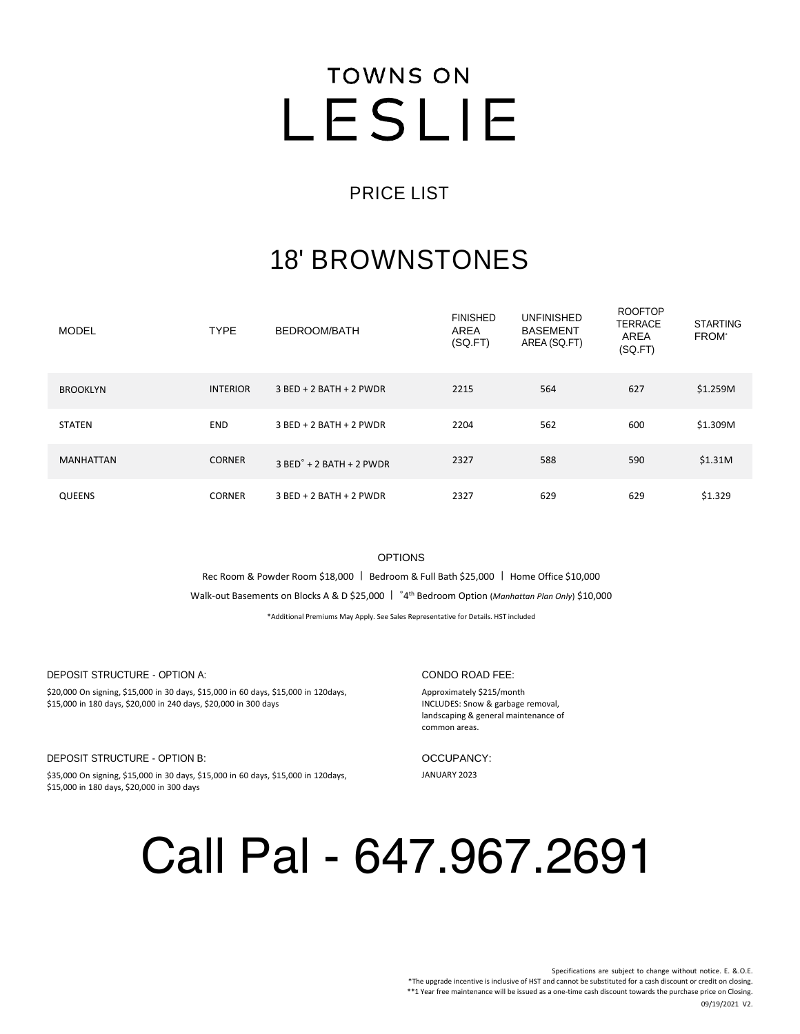### **TOWNS ON** LESLIE

### PRICE LIST

### 18' BROWNSTONES

| <b>MODEL</b>     | <b>TYPE</b>     | BEDROOM/BATH                        | <b>FINISHED</b><br>AREA<br>(SQ.FT) | <b>UNFINISHED</b><br><b>BASEMENT</b><br>AREA (SQ.FT) | <b>ROOFTOP</b><br><b>TERRACE</b><br><b>AREA</b><br>(SQ.FT) | <b>STARTING</b><br><b>FROM</b> |
|------------------|-----------------|-------------------------------------|------------------------------------|------------------------------------------------------|------------------------------------------------------------|--------------------------------|
| <b>BROOKLYN</b>  | <b>INTERIOR</b> | $3$ BED + 2 BATH + 2 PWDR           | 2215                               | 564                                                  | 627                                                        | \$1.259M                       |
| <b>STATEN</b>    | <b>END</b>      | 3 BED + 2 BATH + 2 PWDR             | 2204                               | 562                                                  | 600                                                        | \$1.309M                       |
| <b>MANHATTAN</b> | <b>CORNER</b>   | $3$ BED $\degree$ + 2 BATH + 2 PWDR | 2327                               | 588                                                  | 590                                                        | \$1.31M                        |
| <b>QUEENS</b>    | <b>CORNER</b>   | $3$ BED + 2 BATH + 2 PWDR           | 2327                               | 629                                                  | 629                                                        | \$1.329                        |

OPTIONS

Rec Room & Powder Room \$18,000 | Bedroom & Full Bath \$25,000 | Home Office \$10,000

Walk-out Basements on Blocks A & D \$25,000 | **˚**4 th Bedroom Option (*Manhattan Plan Only*) \$10,000

\*Additional Premiums May Apply. See Sales Representative for Details. HST included

DEPOSIT STRUCTURE - OPTION A:

\$20,000 On signing, \$15,000 in 30 days, \$15,000 in 60 days, \$15,000 in 120days, \$15,000 in 180 days, \$20,000 in 240 days, \$20,000 in 300 days

DEPOSIT STRUCTURE - OPTION B:

\$35,000 On signing, \$15,000 in 30 days, \$15,000 in 60 days, \$15,000 in 120days, \$15,000 in 180 days, \$20,000 in 300 days

#### CONDO ROAD FEE:

Approximately \$215/month INCLUDES: Snow & garbage removal, landscaping & general maintenance of common areas.

OCCUPANCY:

JANUARY 2023

## Call Pal - 647.967.2691

Specifications are subject to change without notice. E. &.O.E. \*The upgrade incentive is inclusive of HST and cannot be substituted for a cash discount or credit on closing. \*\*1 Year free maintenance will be issued as a one-time cash discount towards the purchase price on Closing. 09/19/2021 V2.